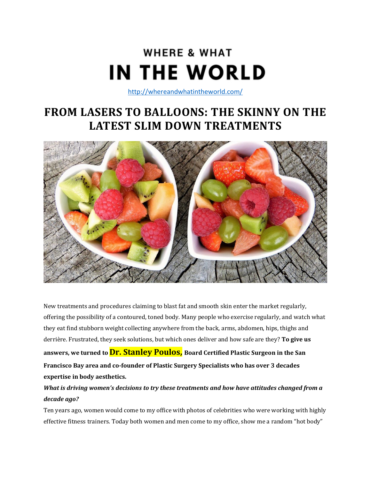# **WHERE & WHAT IN THE WORLD**

<http://whereandwhatintheworld.com/>

# **FROM LASERS TO BALLOONS: THE SKINNY ON THE LATEST SLIM DOWN TREATMENTS**



New treatments and procedures claiming to blast fat and smooth skin enter the market regularly, offering the possibility of a contoured, toned body. Many people who exercise regularly, and watch what they eat find stubborn weight collecting anywhere from the back, arms, abdomen, hips, thighs and derrière. Frustrated, they seek solutions, but which ones deliver and how safe are they? **To give us answers, we turned to Dr. Stanley Poulos, Board Certified Plastic Surgeon in the San Francisco Bay area and co-founder of Plastic Surgery Specialists who has over 3 decades expertise in body aesthetics.**

### *What is driving women's decisions to try these treatments and how have attitudes changed from a decade ago?*

Ten years ago, women would come to my office with photos of celebrities who were working with highly effective fitness trainers. Today both women and men come to my office, show me a random "hot body"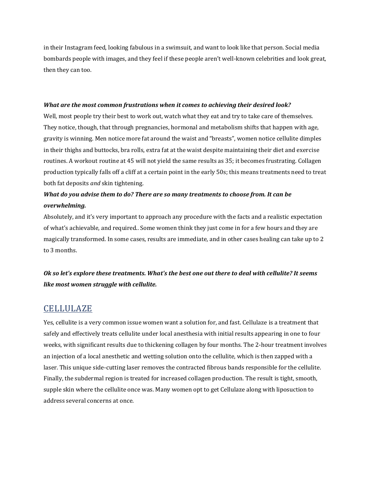in their Instagram feed, looking fabulous in a swimsuit, and want to look like that person. Social media bombards people with images, and they feel if these people aren't well-known celebrities and look great, then they can too.

#### *What are the most common frustrations when it comes to achieving their desired look?*

Well, most people try their best to work out, watch what they eat and try to take care of themselves. They notice, though, that through pregnancies, hormonal and metabolism shifts that happen with age, gravity is winning. Men notice more fat around the waist and "breasts", women notice cellulite dimples in their thighs and buttocks, bra rolls, extra fat at the waist despite maintaining their diet and exercise routines. A workout routine at 45 will not yield the same results as 35; it becomes frustrating. Collagen production typically falls off a cliff at a certain point in the early 50s; this means treatments need to treat both fat deposits *and* skin tightening.

### *What do you advise them to do? There are so many treatments to choose from. It can be overwhelming.*

Absolutely, and it's very important to approach any procedure with the facts and a realistic expectation of what's achievable, and required.. Some women think they just come in for a few hours and they are magically transformed. In some cases, results are immediate, and in other cases healing can take up to 2 to 3 months.

### Ok so let's explore these treatments. What's the best one out there to deal with cellulite? It seems *like most women struggle with cellulite.*

### CELLULAZE

Yes, cellulite is a very common issue women want a solution for, and fast. Cellulaze is a treatment that safely and effectively treats cellulite under local anesthesia with initial results appearing in one to four weeks, with significant results due to thickening collagen by four months. The 2-hour treatment involves an injection of a local anesthetic and wetting solution onto the cellulite, which is then zapped with a laser. This unique side-cutting laser removes the contracted fibrous bands responsible for the cellulite. Finally, the subdermal region is treated for increased collagen production. The result is tight, smooth, supple skin where the cellulite once was. Many women opt to get Cellulaze along with liposuction to address several concerns at once.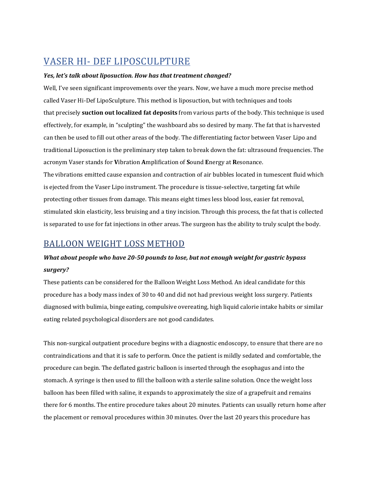# VASER HI- DEF LIPOSCULPTURE

### *Yes, let's talk about liposuction. How has that treatment changed?*

Well, I've seen significant improvements over the years. Now, we have a much more precise method called Vaser Hi-Def LipoSculpture. This method is liposuction, but with techniques and tools that precisely **suction out localized fat deposits** from various parts of the body. This technique is used effectively, for example, in "sculpting" the washboard abs so desired by many. The fat that is harvested can then be used to fill out other areas of the body. The differentiating factor between Vaser Lipo and traditional Liposuction is the preliminary step taken to break down the fat: ultrasound frequencies. The acronym Vaser stands for **V**ibration **A**mplification of **S**ound **E**nergy at **R**esonance. The vibrations emitted cause expansion and contraction of air bubbles located in tumescent fluid which

is ejected from the Vaser Lipo instrument. The procedure is tissue-selective, targeting fat while protecting other tissues from damage. This means eight times less blood loss, easier fat removal, stimulated skin elasticity, less bruising and a tiny incision. Through this process, the fat that is collected is separated to use for fat injections in other areas. The surgeon has the ability to truly sculpt the body.

### BALLOON WEIGHT LOSS METHOD

### *What about people who have 20-50 pounds to lose, but not enough weight for gastric bypass surgery?*

These patients can be considered for the Balloon Weight Loss Method. An ideal candidate for this procedure has a body mass index of 30 to 40 and did not had previous weight loss surgery. Patients diagnosed with bulimia, binge eating, compulsive overeating, high liquid calorie intake habits or similar eating related psychological disorders are not good candidates.

This non-surgical outpatient procedure begins with a diagnostic endoscopy, to ensure that there are no contraindications and that it is safe to perform. Once the patient is mildly sedated and comfortable, the procedure can begin. The deflated gastric balloon is inserted through the esophagus and into the stomach. A syringe is then used to fill the balloon with a sterile saline solution. Once the weight loss balloon has been filled with saline, it expands to approximately the size of a grapefruit and remains there for 6 months. The entire procedure takes about 20 minutes. Patients can usually return home after the placement or removal procedures within 30 minutes. Over the last 20 years this procedure has